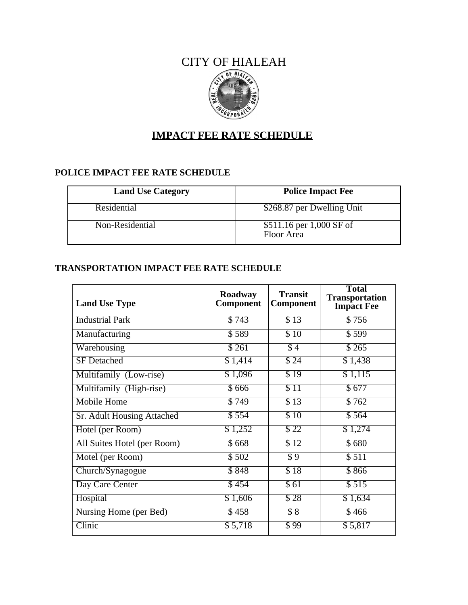## CITY OF HIALEAH OF HIAI



# **IMPACT FEE RATE SCHEDULE**

## **POLICE IMPACT FEE RATE SCHEDULE**

| <b>Land Use Category</b> | <b>Police Impact Fee</b>               |
|--------------------------|----------------------------------------|
| Residential              | \$268.87 per Dwelling Unit             |
| Non-Residential          | \$511.16 per 1,000 SF of<br>Floor Area |

#### **TRANSPORTATION IMPACT FEE RATE SCHEDULE**

| <b>Land Use Type</b>          | Roadway<br>Component | <b>Transit</b><br><b>Component</b> | <b>Total</b><br><b>Transportation</b><br><b>Impact Fee</b> |
|-------------------------------|----------------------|------------------------------------|------------------------------------------------------------|
| <b>Industrial Park</b>        | \$743                | $\overline{$}13$                   | \$756                                                      |
| Manufacturing                 | \$589                | \$10                               | \$599                                                      |
| Warehousing                   | \$261                | $\overline{\$4}$                   | \$265                                                      |
| <b>SF</b> Detached            | \$1,414              | \$24                               | \$1,438                                                    |
| Multifamily (Low-rise)        | \$1,096              | $\overline{$}19$                   | \$1,115                                                    |
| Multifamily (High-rise)       | \$666                | $\overline{S11}$                   | \$677                                                      |
| <b>Mobile Home</b>            | \$749                | $\overline{$}13$                   | \$762                                                      |
| Sr. Adult Housing Attached    | \$554                | \$10                               | \$564                                                      |
| Hotel (per Room)              | \$1,252              | $\sqrt{322}$                       | \$1,274                                                    |
| All Suites Hotel (per Room)   | \$668                | $\overline{$}12$                   | \$680                                                      |
| Motel (per Room)              | \$502                | $\overline{\$9}$                   | \$511                                                      |
| Church/Synagogue              | \$848                | $\overline{$}18$                   | \$866                                                      |
| Day Care Center               | \$454                | $\overline{561}$                   | \$515                                                      |
| Hospital                      | \$1,606              | $\overline{$}$ 28                  | \$1,634                                                    |
| <b>Nursing Home (per Bed)</b> | \$458                | $\overline{\$8}$                   | \$466                                                      |
| Clinic                        | \$5,718              | $\overline{\$99}$                  | \$5,817                                                    |